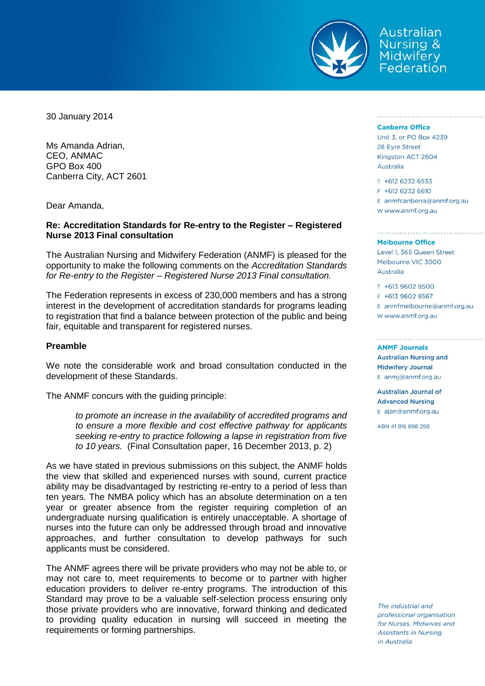

Australian **Nursing & Midwifery** Federation

30 January 2014

Ms Amanda Adrian, CEO, ANMAC GPO Box 400 Canberra City, ACT 2601

Dear Amanda,

# **Re: Accreditation Standards for Re-entry to the Register – Registered Nurse 2013 Final consultation**

The Australian Nursing and Midwifery Federation (ANMF) is pleased for the opportunity to make the following comments on the *Accreditation Standards for Re-entry to the Register – Registered Nurse 2013 Final consultation.*

The Federation represents in excess of 230,000 members and has a strong interest in the development of accreditation standards for programs leading to registration that find a balance between protection of the public and being fair, equitable and transparent for registered nurses.

## **Preamble**

We note the considerable work and broad consultation conducted in the development of these Standards.

The ANMF concurs with the guiding principle:

*to promote an increase in the availability of accredited programs and to ensure a more flexible and cost effective pathway for applicants seeking re-entry to practice following a lapse in registration from five to 10 years.* (Final Consultation paper, 16 December 2013, p. 2)

As we have stated in previous submissions on this subject, the ANMF holds the view that skilled and experienced nurses with sound, current practice ability may be disadvantaged by restricting re-entry to a period of less than ten years. The NMBA policy which has an absolute determination on a ten year or greater absence from the register requiring completion of an undergraduate nursing qualification is entirely unacceptable. A shortage of nurses into the future can only be addressed through broad and innovative approaches, and further consultation to develop pathways for such applicants must be considered.

The ANMF agrees there will be private providers who may not be able to, or may not care to, meet requirements to become or to partner with higher education providers to deliver re-entry programs. The introduction of this Standard may prove to be a valuable self-selection process ensuring only those private providers who are innovative, forward thinking and dedicated to providing quality education in nursing will succeed in meeting the requirements or forming partnerships.

#### **Canberra Office**

Unit 3, or PO Box 4239 28 Eyre Street Kingston ACT 2604 Australia

indiana da badan da badan da b

T +612 6232 6533  $F + 612 6232 6610$ E anmfcanberra@anmf.org.au W www.anmf.org.au

### **Melbourne Office**

Level 1, 365 Queen Street Melbourne VIC 3000 Australia

T +613 9602 8500 E +613 9602 8567 E anmfmelbourne@anmf.org.au w www.anmf.org.au

**ANMF Journals Australian Nursing and Midwifery Journal** E anmj@anmf.org.au

**Australian Journal of Advanced Nursing** E ajan@anmf.org.au

ABN 41816898298

The industrial and professional organisation for Nurses, Midwives and **Assistants in Nursing** in Australia